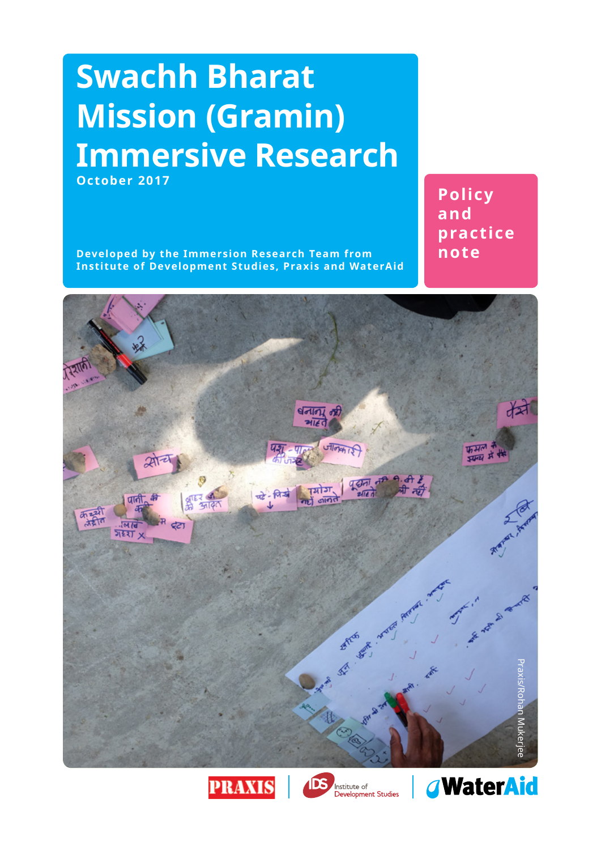## **Swachh Bharat Mission (Gramin) Immersive Research October 2017**

**Developed by the Immersion Research Team from Institute of Development Studies, Praxis and WaterAid**

**Policy and practice note**







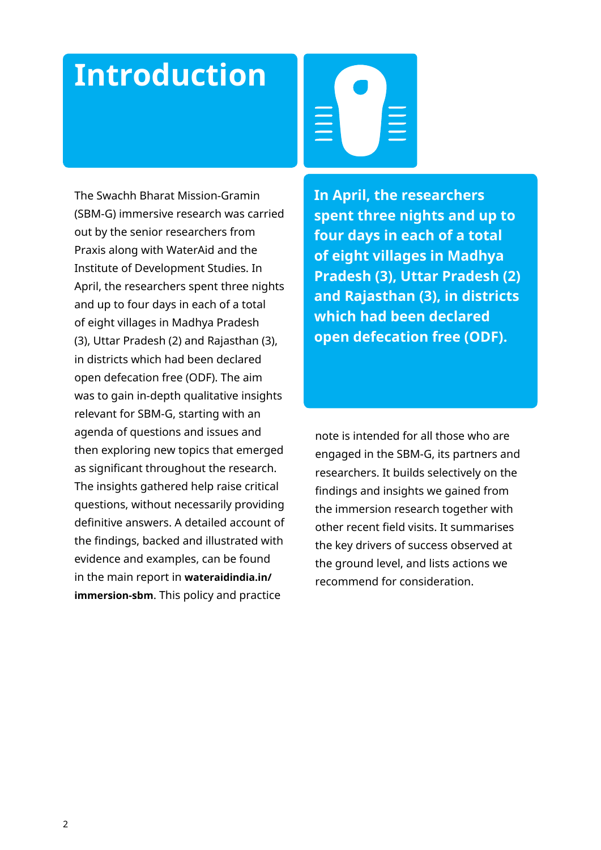## **Introduction**

The Swachh Bharat Mission-Gramin (SBM-G) immersive research was carried out by the senior researchers from Praxis along with WaterAid and the Institute of Development Studies. In April, the researchers spent three nights and up to four days in each of a total of eight villages in Madhya Pradesh (3), Uttar Pradesh (2) and Rajasthan (3), in districts which had been declared open defecation free (ODF). The aim was to gain in-depth qualitative insights relevant for SBM-G, starting with an agenda of questions and issues and then exploring new topics that emerged as significant throughout the research. The insights gathered help raise critical questions, without necessarily providing definitive answers. A detailed account of the findings, backed and illustrated with evidence and examples, can be found in the main report in **[wateraidindia.in/](http://wateraidindia.in/immersion-sbm/) [immersion-sbm](http://wateraidindia.in/immersion-sbm/)**. This policy and practice

**In April, the researchers spent three nights and up to four days in each of a total of eight villages in Madhya Pradesh (3), Uttar Pradesh (2) and Rajasthan (3), in districts which had been declared open defecation free (ODF).**

note is intended for all those who are engaged in the SBM-G, its partners and researchers. It builds selectively on the findings and insights we gained from the immersion research together with other recent field visits. It summarises the key drivers of success observed at the ground level, and lists actions we recommend for consideration.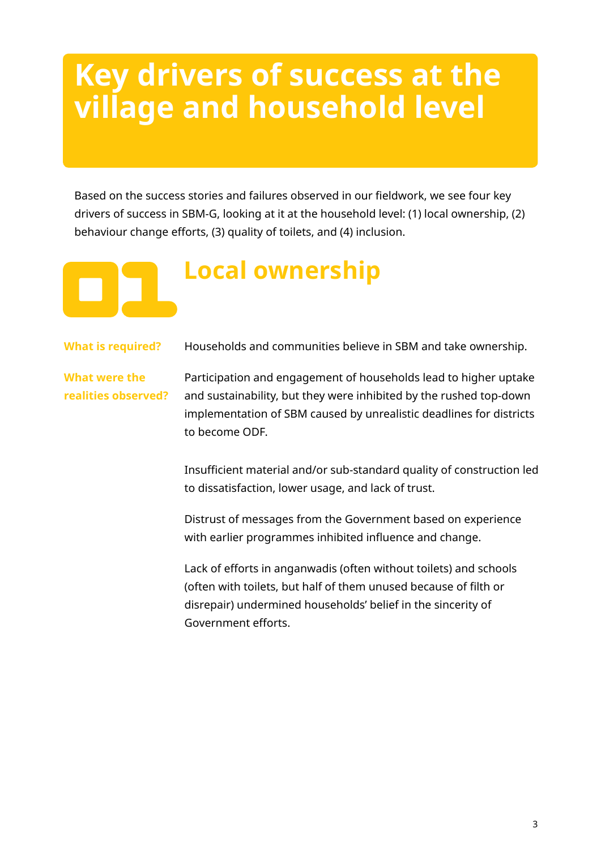## **Key drivers of success at the village and household level**

Based on the success stories and failures observed in our fieldwork, we see four key drivers of success in SBM-G, looking at it at the household level: (1) local ownership, (2) behaviour change efforts, (3) quality of toilets, and (4) inclusion.

### **Local ownership**

**What is required?** Households and communities believe in SBM and take ownership.

**What were the realities observed?** Participation and engagement of households lead to higher uptake

and sustainability, but they were inhibited by the rushed top-down implementation of SBM caused by unrealistic deadlines for districts to become ODF.

Insufficient material and/or sub-standard quality of construction led to dissatisfaction, lower usage, and lack of trust.

Distrust of messages from the Government based on experience with earlier programmes inhibited influence and change.

Lack of efforts in anganwadis (often without toilets) and schools (often with toilets, but half of them unused because of filth or disrepair) undermined households' belief in the sincerity of Government efforts.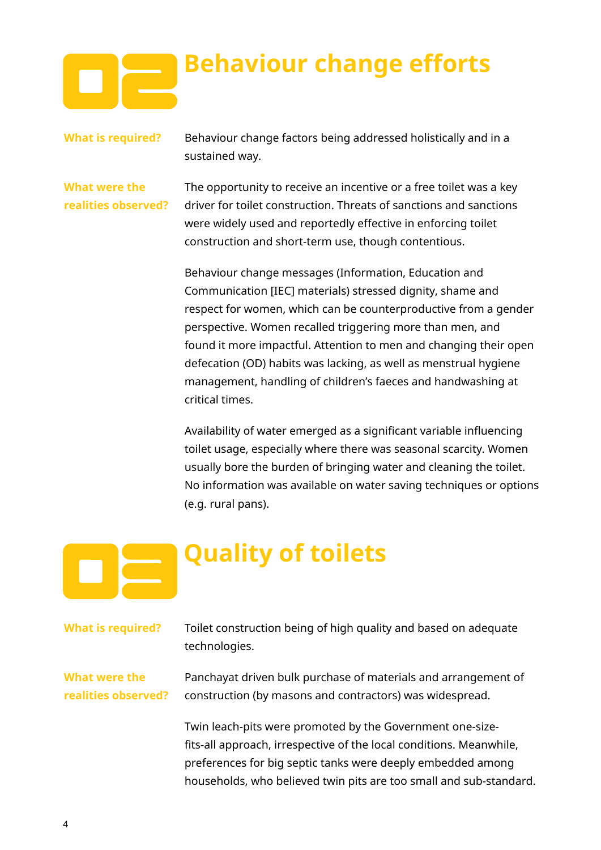

## **Behaviour change efforts**

**What is required?** Behaviour change factors being addressed holistically and in a sustained way.

**What were the realities observed?** The opportunity to receive an incentive or a free toilet was a key driver for toilet construction. Threats of sanctions and sanctions were widely used and reportedly effective in enforcing toilet construction and short-term use, though contentious.

Behaviour change messages (Information, Education and Communication [IEC] materials) stressed dignity, shame and respect for women, which can be counterproductive from a gender perspective. Women recalled triggering more than men, and found it more impactful. Attention to men and changing their open defecation (OD) habits was lacking, as well as menstrual hygiene management, handling of children's faeces and handwashing at critical times.

Availability of water emerged as a significant variable influencing toilet usage, especially where there was seasonal scarcity. Women usually bore the burden of bringing water and cleaning the toilet. No information was available on water saving techniques or options (e.g. rural pans).

## **Quality of toilets**

| <b>What is required?</b>             | Toilet construction being of high quality and based on adequate<br>technologies.                                                                                                                                                                                      |
|--------------------------------------|-----------------------------------------------------------------------------------------------------------------------------------------------------------------------------------------------------------------------------------------------------------------------|
| What were the<br>realities observed? | Panchayat driven bulk purchase of materials and arrangement of<br>construction (by masons and contractors) was widespread.                                                                                                                                            |
|                                      | Twin leach-pits were promoted by the Government one-size-<br>fits-all approach, irrespective of the local conditions. Meanwhile,<br>preferences for big septic tanks were deeply embedded among<br>households, who believed twin pits are too small and sub-standard. |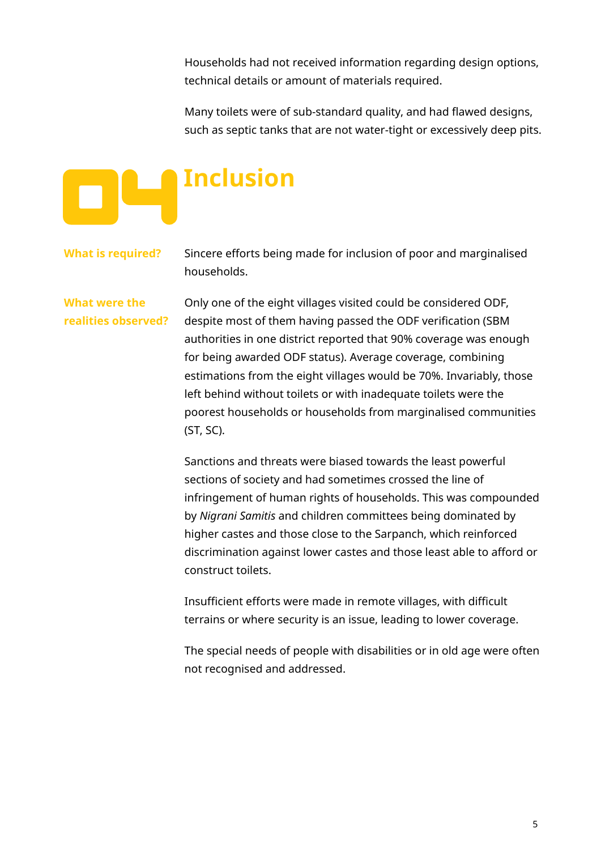Households had not received information regarding design options, technical details or amount of materials required.

Many toilets were of sub-standard quality, and had flawed designs, such as septic tanks that are not water-tight or excessively deep pits.

# **Inclusion**

**What is required?** Sincere efforts being made for inclusion of poor and marginalised households.

**What were the realities observed?** Only one of the eight villages visited could be considered ODF, despite most of them having passed the ODF verification (SBM authorities in one district reported that 90% coverage was enough for being awarded ODF status). Average coverage, combining estimations from the eight villages would be 70%. Invariably, those left behind without toilets or with inadequate toilets were the poorest households or households from marginalised communities (ST, SC).

> Sanctions and threats were biased towards the least powerful sections of society and had sometimes crossed the line of infringement of human rights of households. This was compounded by *Nigrani Samitis* and children committees being dominated by higher castes and those close to the Sarpanch, which reinforced discrimination against lower castes and those least able to afford or construct toilets.

Insufficient efforts were made in remote villages, with difficult terrains or where security is an issue, leading to lower coverage.

The special needs of people with disabilities or in old age were often not recognised and addressed.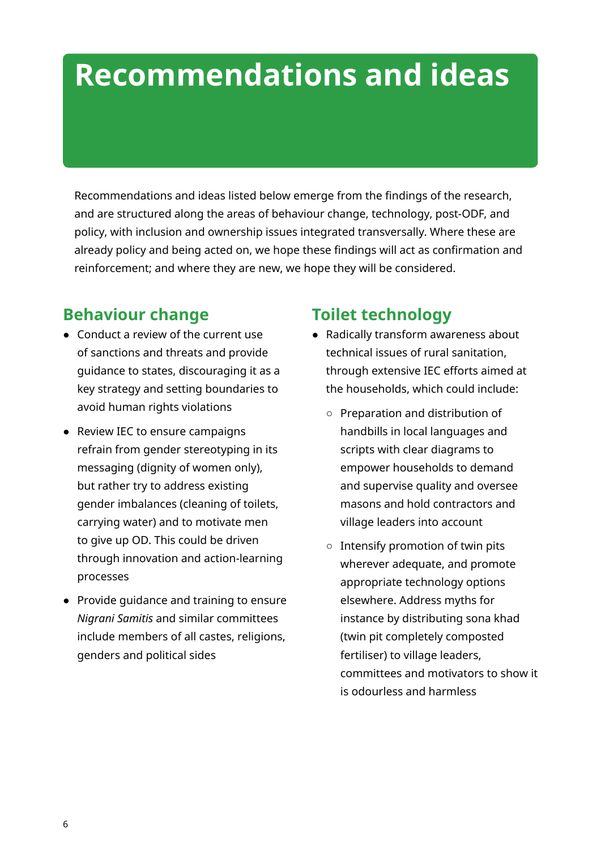## **Recommendations and ideas**

Recommendations and ideas listed below emerge from the findings of the research, and are structured along the areas of behaviour change, technology, post-ODF, and policy, with inclusion and ownership issues integrated transversally. Where these are already policy and being acted on, we hope these findings will act as confirmation and reinforcement; and where they are new, we hope they will be considered.

### **Behaviour change**

- Conduct a review of the current use of sanctions and threats and provide guidance to states, discouraging it as a key strategy and setting boundaries to avoid human rights violations
- Review IEC to ensure campaigns refrain from gender stereotyping in its messaging (dignity of women only), but rather try to address existing gender imbalances (cleaning of toilets, carrying water) and to motivate men to give up OD. This could be driven through innovation and action-learning processes
- Provide guidance and training to ensure *Nigrani Samitis* and similar committees include members of all castes, religions, genders and political sides

### **Toilet technology**

- Radically transform awareness about technical issues of rural sanitation, through extensive IEC efforts aimed at the households, which could include:
	- Preparation and distribution of handbills in local languages and scripts with clear diagrams to empower households to demand and supervise quality and oversee masons and hold contractors and village leaders into account
	- Intensify promotion of twin pits wherever adequate, and promote appropriate technology options elsewhere. Address myths for instance by distributing sona khad (twin pit completely composted fertiliser) to village leaders, committees and motivators to show it is odourless and harmless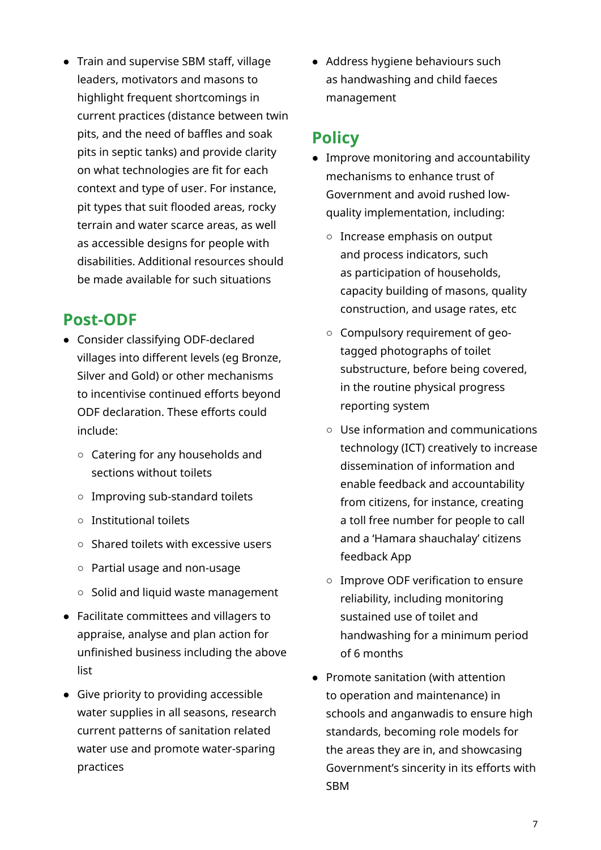● Train and supervise SBM staff, village leaders, motivators and masons to highlight frequent shortcomings in current practices (distance between twin pits, and the need of baffles and soak pits in septic tanks) and provide clarity on what technologies are fit for each context and type of user. For instance, pit types that suit flooded areas, rocky terrain and water scarce areas, as well as accessible designs for people with disabilities. Additional resources should be made available for such situations

### **Post-ODF**

- Consider classifying ODF-declared villages into different levels (eg Bronze, Silver and Gold) or other mechanisms to incentivise continued efforts beyond ODF declaration. These efforts could include:
	- Catering for any households and sections without toilets
	- Improving sub-standard toilets
	- Institutional toilets
	- Shared toilets with excessive users
	- Partial usage and non-usage
	- Solid and liquid waste management
- Facilitate committees and villagers to appraise, analyse and plan action for unfinished business including the above list
- Give priority to providing accessible water supplies in all seasons, research current patterns of sanitation related water use and promote water-sparing practices

● Address hygiene behaviours such as handwashing and child faeces management

#### **Policy**

- Improve monitoring and accountability mechanisms to enhance trust of Government and avoid rushed lowquality implementation, including:
	- Increase emphasis on output and process indicators, such as participation of households, capacity building of masons, quality construction, and usage rates, etc
	- Compulsory requirement of geotagged photographs of toilet substructure, before being covered, in the routine physical progress reporting system
	- Use information and communications technology (ICT) creatively to increase dissemination of information and enable feedback and accountability from citizens, for instance, creating a toll free number for people to call and a 'Hamara shauchalay' citizens feedback App
	- Improve ODF verification to ensure reliability, including monitoring sustained use of toilet and handwashing for a minimum period of 6 months
- Promote sanitation (with attention to operation and maintenance) in schools and anganwadis to ensure high standards, becoming role models for the areas they are in, and showcasing Government's sincerity in its efforts with SBM